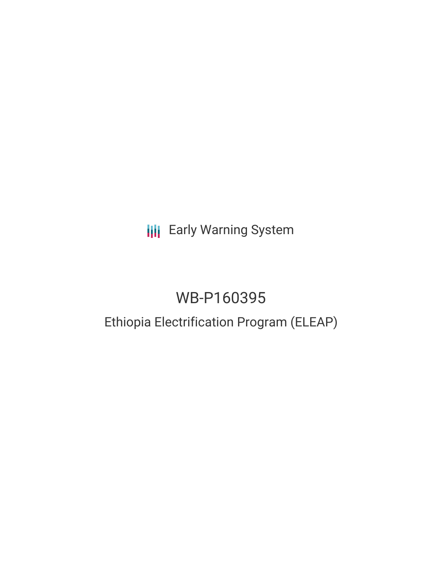**III** Early Warning System

# WB-P160395

# Ethiopia Electrification Program (ELEAP)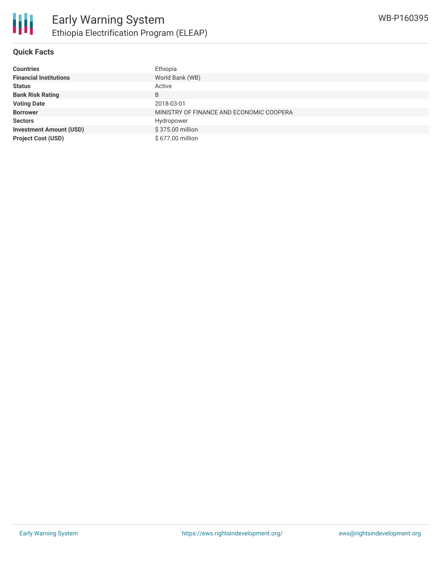

#### **Quick Facts**

| <b>Countries</b>               | Ethiopia                                 |
|--------------------------------|------------------------------------------|
| <b>Financial Institutions</b>  | World Bank (WB)                          |
| <b>Status</b>                  | Active                                   |
| <b>Bank Risk Rating</b>        | B                                        |
| <b>Voting Date</b>             | 2018-03-01                               |
| <b>Borrower</b>                | MINISTRY OF FINANCE AND ECONOMIC COOPERA |
| <b>Sectors</b>                 | Hydropower                               |
| <b>Investment Amount (USD)</b> | \$375.00 million                         |
| <b>Project Cost (USD)</b>      | \$677.00 million                         |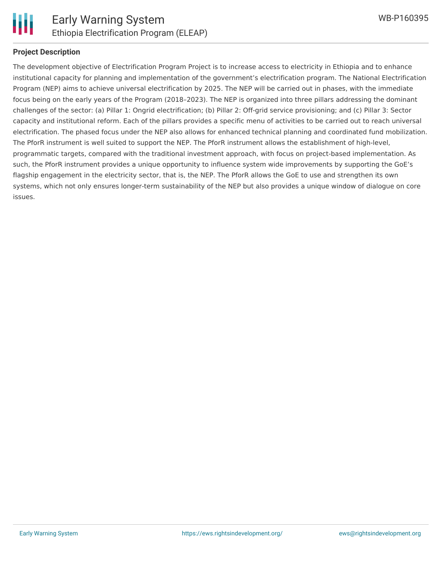

#### **Project Description**

The development objective of Electrification Program Project is to increase access to electricity in Ethiopia and to enhance institutional capacity for planning and implementation of the government's electrification program. The National Electrification Program (NEP) aims to achieve universal electrification by 2025. The NEP will be carried out in phases, with the immediate focus being on the early years of the Program (2018–2023). The NEP is organized into three pillars addressing the dominant challenges of the sector: (a) Pillar 1: Ongrid electrification; (b) Pillar 2: Off-grid service provisioning; and (c) Pillar 3: Sector capacity and institutional reform. Each of the pillars provides a specific menu of activities to be carried out to reach universal electrification. The phased focus under the NEP also allows for enhanced technical planning and coordinated fund mobilization. The PforR instrument is well suited to support the NEP. The PforR instrument allows the establishment of high-level, programmatic targets, compared with the traditional investment approach, with focus on project-based implementation. As such, the PforR instrument provides a unique opportunity to influence system wide improvements by supporting the GoE's flagship engagement in the electricity sector, that is, the NEP. The PforR allows the GoE to use and strengthen its own systems, which not only ensures longer-term sustainability of the NEP but also provides a unique window of dialogue on core issues.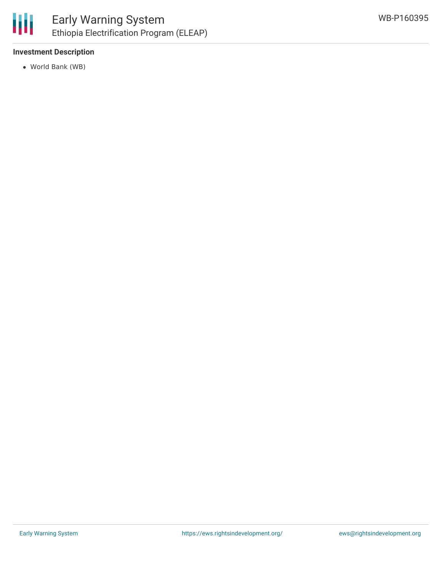

# **Investment Description**

World Bank (WB)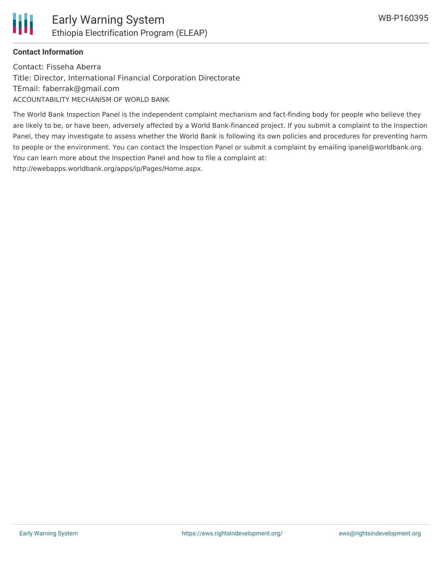# **Contact Information**

Contact: Fisseha Aberra Title: Director, International Financial Corporation Directorate TEmail: faberrak@gmail.com ACCOUNTABILITY MECHANISM OF WORLD BANK

The World Bank Inspection Panel is the independent complaint mechanism and fact-finding body for people who believe they are likely to be, or have been, adversely affected by a World Bank-financed project. If you submit a complaint to the Inspection Panel, they may investigate to assess whether the World Bank is following its own policies and procedures for preventing harm to people or the environment. You can contact the Inspection Panel or submit a complaint by emailing ipanel@worldbank.org. You can learn more about the Inspection Panel and how to file a complaint at: http://ewebapps.worldbank.org/apps/ip/Pages/Home.aspx.